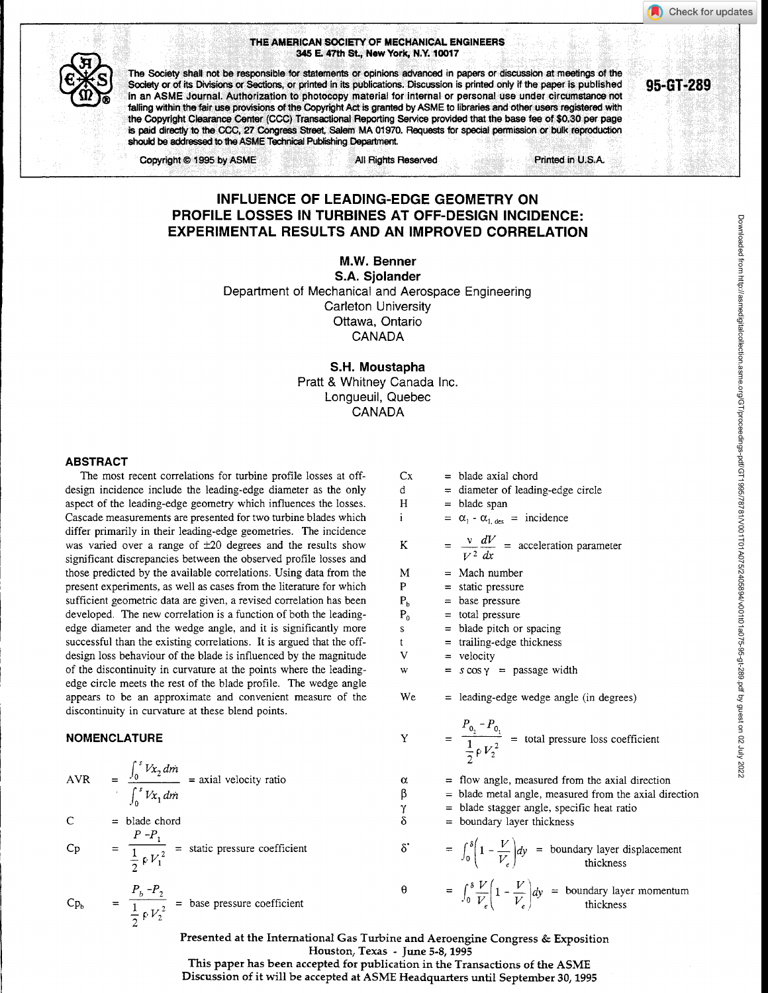Check for updates THE AMERICAN SOCIETY OF MECHANICAL ENGINEERS 345 E. 47th St., New York, N.Y. 10017 The Society shall not be responsible for statements or opinions advanced in papers or discussion at meetings of the Society or of its Divisions or Sections, or printed in its publications. Discussion is printed only if the paper is published 95-GT-289

® in an ASME Journal. Authorization to photocopy material for internal or personal use under circumstance not falling within the fair use provisions of the Copyright Act is granted by ASME to libraries and other users registered with the Copyright Clearance Center (CCC) Transactional Reporting Service provided that the base fee of \$0.30 per page is paid directly to the CCC, 27 Congress Street, Salem MA 01970. Requests for special permission or bulk reproduction should be addressed to the ASME Technical Publishing Department.

Copyright © 1995 by ASME All Rights Reserved All Rights Reserved Printed in U.S.A.

# INFLUENCE OF LEADING-EDGE GEOMETRY ON PROFILE LOSSES IN TURBINES AT OFF-DESIGN INCIDENCE: EXPERIMENTAL RESULTS AND AN IMPROVED CORRELATION

M.W. Benner S.A. Sjolander Department of Mechanical and Aerospace Engineering Carleton University Ottawa, Ontario CANADA

> S.H. Moustapha Pratt & Whitney Canada Inc. Longueuil, Quebec CANADA

## **ABSTRACT**

The most recent correlations for turbine profile losses at offdesign incidence include the leading-edge diameter as the only aspect of the leading-edge geometry which influences the losses. Cascade measurements are presented for two turbine blades which differ primarily in their leading-edge geometries. The incidence was varied over a range of ±20 degrees and the results show significant discrepancies between the observed profile losses and those predicted by the available correlations. Using data from the present experiments, as well as cases from the literature for which sufficient geometric data are given, a revised correlation has been developed. The new correlation is a function of both the leadingedge diameter and the wedge angle, and it is significantly more successful than the existing correlations. It is argued that the offdesign loss behaviour of the blade is influenced by the magnitude of the discontinuity in curvature at the points where the leadingedge circle meets the rest of the blade profile. The wedge angle appears to be an approximate and convenient measure of the discontinuity in curvature at these blend points.

# NOMENCLATURE

$$
AVR = \frac{\int_0^s Vx_2 dm}{\int_0^s Vx_1 dm} = \text{axial velocity ratio}
$$

$$
C = \text{black chord}
$$
\n
$$
P - P_1
$$

$$
Cp = \frac{1}{\frac{1}{2} \rho V_1^2} = \text{static pressure coefficient}
$$

$$
Cp_b = \frac{P_b - P_2}{\frac{1}{2} \rho V_2^2} = \text{base pressure coefficient}
$$

 $Cx = blade axial chord$  $d =$  diameter of leading-edge circle  $H = b$ lade span i =  $\alpha_1 - \alpha_{1, \text{des}}$  = incidence K =  $\frac{v}{V^2} \frac{dV}{dx}$  = acceleration parameter  ${\bf M}$ = Mach number  $P_b$  = static pressure<br> $P_b$  = base pressure  $=$  base pressure  $P_0$  = total pressure s = blade pitch or spacing  $t = \text{training-edge thickness}$  $V = velocity$ w =  $s cos \gamma$  = passage width We = leading-edge wedge angle (in degrees)<br>  $Y = \frac{P_{0_2} - P_{0_1}}{\frac{1}{2} \rho V_2^2}$  = total pressure loss coefficient  $We = leading-edge wedge angle (in degrees)$ an approximate and convenient measure of the<br> **TURE**<br> **TURE**<br>  $\int_0^r V_x \, dm$  = axial velocity ratio<br>  $\int_0^s V_x \, dm$  = axial velocity ratio<br>  $\int_0^s V_x \, dm$  = axial velocity ratio<br>  $\int_0^s V_x \, dm$  = bale end angle, measured from  $P_{0_2} - P_{0_1}$  $\alpha$  = flow angle, measured from the axial direction  $\beta$  = blade metal angle, measured from the axial direction  $\beta$  = blade metal angle, measured from the axial direction<br>  $\gamma$  = blade stagger angle, specific heat ratio = blade stagger angle, specific heat ratio  $\delta$  = boundary layer thickness =  $\int_0^{\delta} \left(1 - \frac{V}{V_e} \right) dy$  = boundary layer displacement  $\theta = \int_0^\delta \frac{V}{V_e} \left(1 - \frac{V}{V_e}\right) dy =$  boundary layer momentum thickness

Presented at the International Gas Turbine and Aeroengine Congress & Exposition Houston, Texas - June 5-8, 1995

This paper has been accepted for publication in the Transactions of the ASME Discussion of it will be accepted at ASME Headquarters until September 30,1995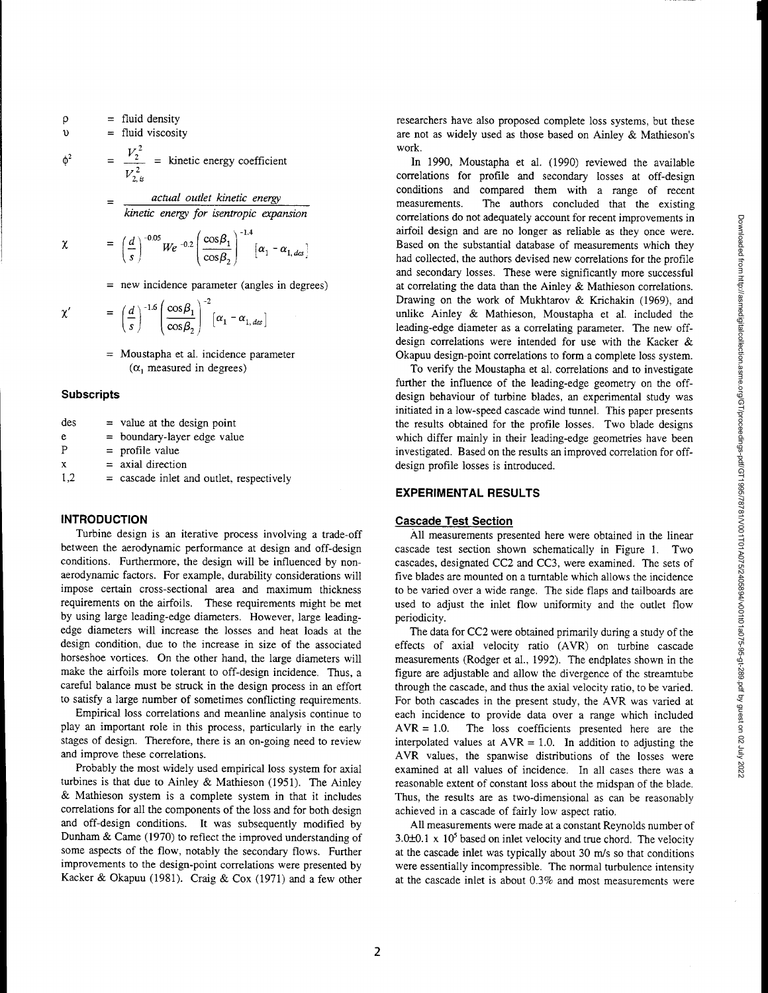$$
\rho = \text{fluid density}
$$

1

$$
= \text{fluid viscosity}
$$

$$
\phi^2 = \frac{V_2^2}{V_{2,\text{is}}^2} = \text{kinetic energy coefficient}
$$

*= actual outlet kinetic energy kinetic energy for isentropic expansion*

$$
\chi = \left(\frac{d}{s}\right)^{-0.05} We^{-0.2} \left(\frac{\cos \beta_1}{\cos \beta_2}\right)^{-1.4} \left[\alpha_1 - \alpha_{1, \text{des}}\right]
$$

= new incidence parameter (angles in degrees)

$$
\chi' = \left(\frac{d}{s}\right)^{-1.6} \left(\frac{\cos\beta_1}{\cos\beta_2}\right)^{-2} \left[\alpha_1 - \alpha_{1,\text{des}}\right]
$$

= Moustapha et al. incidence parameter  $(\alpha_1$  measured in degrees)

# **Subscripts**

| des | $=$ value at the design point              |
|-----|--------------------------------------------|
| e   | $=$ boundary-layer edge value              |
| P   | $=$ profile value                          |
| X   | $=$ axial direction                        |
| 1.2 | $=$ cascade inlet and outlet, respectively |
|     |                                            |

### INTRODUCTION

Turbine design is an iterative process involving a trade-off between the aerodynamic performance at design and off-design conditions. Furthermore, the design will be influenced by nonaerodynamic factors. For example, durability considerations will impose certain cross-sectional area and maximum thickness requirements on the airfoils. These requirements might be met by using large leading-edge diameters. However, large leadingedge diameters will increase the losses and heat loads at the design condition, due to the increase in size of the associated horseshoe vortices. On the other hand, the large diameters will make the airfoils more tolerant to off-design incidence. Thus, a careful balance must be struck in the design process in an effort to satisfy a large number of sometimes conflicting requirements.

Empirical loss correlations and meanline analysis continue to play an important role in this process, particularly in the early stages of design. Therefore, there is an on-going need to review and improve these correlations.

Probably the most widely used empirical loss system for axial turbines is that due to Ainley & Mathieson (1951). The Ainley & Mathieson system is a complete system in that it includes correlations for all the components of the loss and for both design and off-design conditions. It was subsequently modified by Dunham & Came (1970) to reflect the improved understanding of some aspects of the flow, notably the secondary flows. Further improvements to the design-point correlations were presented by Kacker & Okapuu (1981). Craig & Cox (1971) and a few other researchers have also proposed complete loss systems, but these are not as widely used as those based on Ainley & Mathieson's work.

In 1990, Moustapha et al. (1990) reviewed the available correlations for profile and secondary losses at off-design conditions and compared them with a range of recent measurements. The authors concluded that the existing correlations do not adequately account for recent improvements in airfoil design and are no longer as reliable as they once were. Based on the substantial database of measurements which they had collected, the authors devised new correlations for the profile and secondary losses. These were significantly more successful at correlating the data than the Ainley & Mathieson correlations. Drawing on the work of Mukhtarov & Krichakin (1969), and unlike Ainley & Mathieson, Moustapha et al. included the leading-edge diameter as a correlating parameter. The new offdesign correlations were intended for use with the Kacker & Okapuu design-point correlations to form a complete loss system.

To verify the Moustapha et al. correlations and to investigate further the influence of the leading-edge geometry on the offdesign behaviour of turbine blades, an experimental study was initiated in a low-speed cascade wind tunnel. This paper presents the results obtained for the profile losses. Two blade designs which differ mainly in their leading-edge geometries have been investigated. Based on the results an improved correlation for offdesign profile losses is introduced.

### EXPERIMENTAL RESULTS

#### Cascade Test Section

All measurements presented here were obtained in the linear cascade test section shown schematically in Figure 1. Two cascades, designated CC2 and CC3, were examined. The sets of five blades are mounted on a turntable which allows the incidence to be varied over a wide range. The side flaps and tailboards are used to adjust the inlet flow uniformity and the outlet flow periodicity.

The data for CC2 were obtained primarily during a study of the effects of axial velocity ratio (AVR) on turbine cascade measurements (Rodger et al., 1992). The endplates shown in the figure are adjustable and allow the divergence of the streamtube through the cascade, and thus the axial velocity ratio, to be varied. For both cascades in the present study, the AVR was varied at each incidence to provide data over a range which included  $AVR = 1.0$ . The loss coefficients presented here are the interpolated values at  $AVR = 1.0$ . In addition to adjusting the AVR values, the spanwise distributions of the losses were examined at all values of incidence. In all cases there was a reasonable extent of constant loss about the midspan of the blade. Thus, the results are as two-dimensional as can be reasonably achieved in a cascade of fairly low aspect ratio.

All measurements were made at a constant Reynolds number of 3.0 $\pm$ 0.1 x 10<sup>5</sup> based on inlet velocity and true chord. The velocity at the cascade inlet was typically about 30 m/s so that conditions were essentially incompressible. The normal turbulence intensity at the cascade inlet is about 0.3% and most measurements were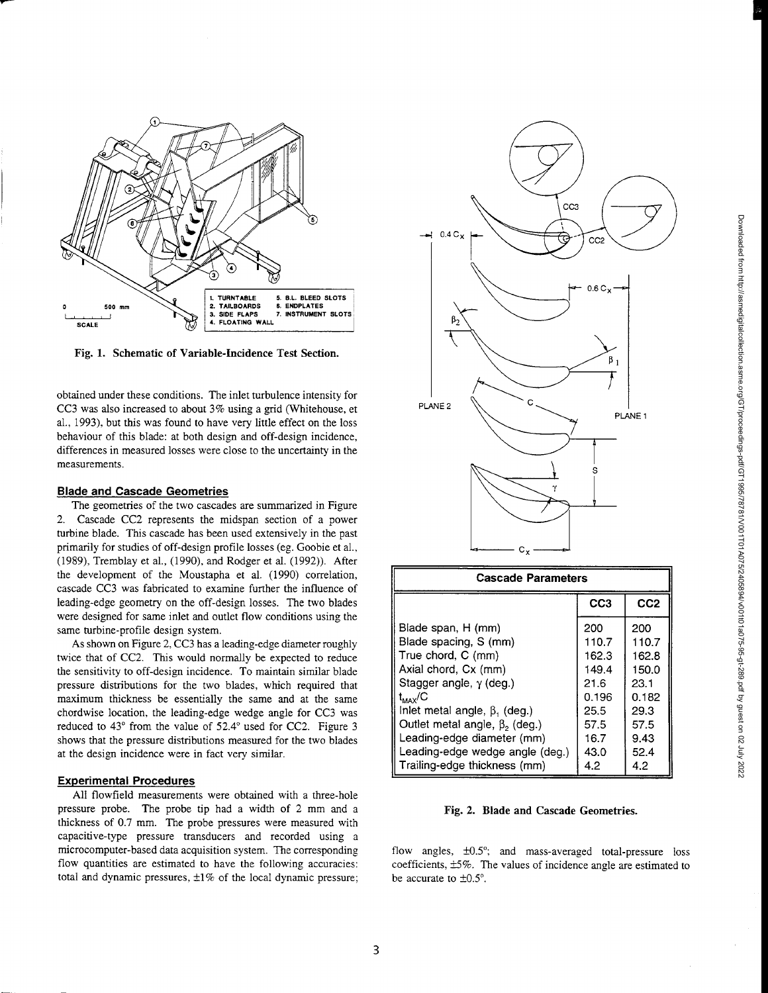

Fig. 1. Schematic of Variable-Incidence Test Section.

obtained under these conditions. The inlet turbulence intensity for CC3 was also increased to about 3% using a grid (Whitehouse, et al., 1993), but this was found to have very little effect on the loss behaviour of this blade: at both design and off-design incidence, differences in measured losses were close to the uncertainty in the measurements.

### Blade and Cascade Geometries

The geometries of the two cascades are summarized in Figure 2. Cascade CC2 represents the midspan section of a power turbine blade. This cascade has been used extensively in the past primarily for studies of off-design profile losses (eg. Goobie et al., (1989), Tremblay et al., (1990), and Rodger et al. (1992)). After the development of the Moustapha et al. (1990) correlation, cascade CC3 was fabricated to examine further the influence of leading-edge geometry on the off-design losses. The two blades were designed for same inlet and outlet flow conditions using the same turbine-profile design system.

As shown on Figure 2, CC3 has a leading-edge diameter roughly twice that of CC2. This would normally be expected to reduce the sensitivity to off-design incidence. To maintain similar blade pressure distributions for the two blades, which required that maximum thickness be essentially the same and at the same chordwise location, the leading-edge wedge angle for CC3 was reduced to 43° from the value of 52.4° used for CC2. Figure 3 shows that the pressure distributions measured for the two blades at the design incidence were in fact very similar.

### Experimental Procedures

All flowfield measurements were obtained with a three-hole pressure probe. The probe tip had a width of 2 mm and a thickness of 0.7 mm. The probe pressures were measured with capacitive-type pressure transducers and recorded using a microcomputer-based data acquisition system. The corresponding flow quantities are estimated to have the following accuracies: total and dynamic pressures, ±1% of the local dynamic pressure;



| <b>Cascade Parameters</b>            |                 |                 |  |  |
|--------------------------------------|-----------------|-----------------|--|--|
|                                      | CC <sub>3</sub> | CC <sub>2</sub> |  |  |
| Blade span, H (mm)                   | 200             | 200             |  |  |
| Blade spacing, S (mm)                | 110.7           | 110.7           |  |  |
| True chord, C (mm)                   | 162.3           | 162.8           |  |  |
| Axial chord, Cx (mm)                 | 149.4           | 150.0           |  |  |
| Stagger angle, $\gamma$ (deg.)       | 21.6            | 23.1            |  |  |
| $t_{MAX}/C$                          | 0.196           | 0.182           |  |  |
| Inlet metal angle, $\beta_1$ (deg.)  | 25.5            | 29.3            |  |  |
| Outlet metal angle, $\beta$ , (deg.) | 57.5            | 57.5            |  |  |
| Leading-edge diameter (mm)           | 16.7            | 9.43            |  |  |
| Leading-edge wedge angle (deg.)      | 43.0            | 52.4            |  |  |
| Trailing-edge thickness (mm)         | 4.2             | 4.2             |  |  |

#### Fig. 2. Blade and Cascade Geometries.

flow angles,  $\pm 0.5^\circ$ ; and mass-averaged total-pressure loss coefficients, ±5%. The values of incidence angle are estimated to be accurate to  $\pm 0.5^\circ$ .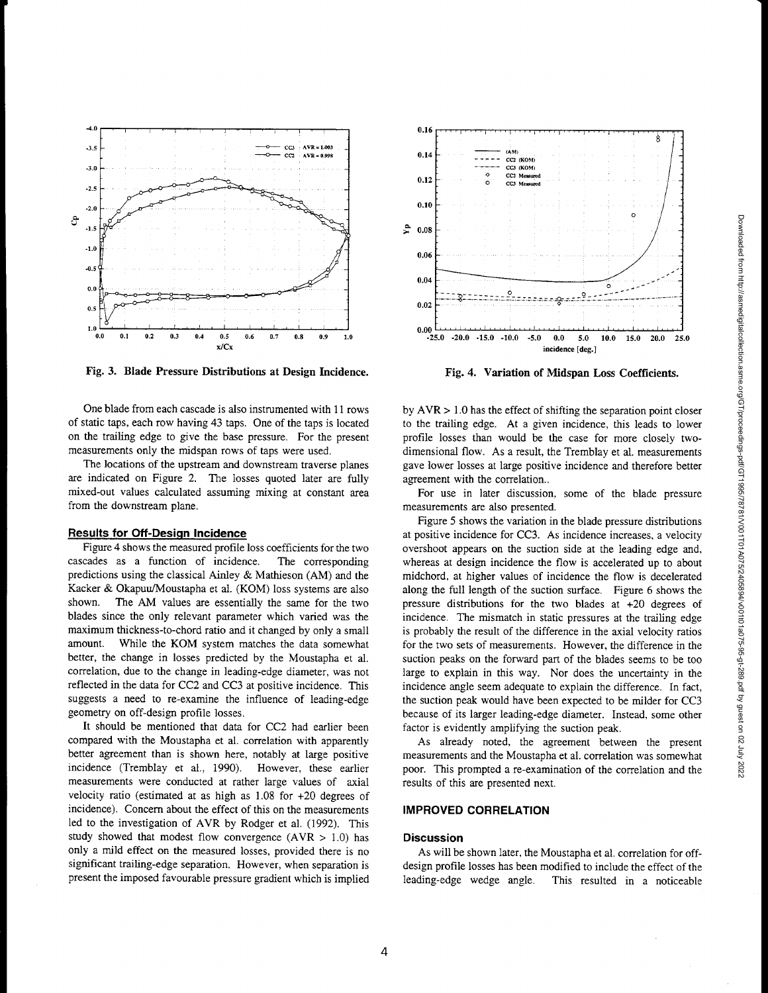

0.04  $\circ$ 0.02 .... .... .... .... .... .... **<sup>1</sup>**  $0.00 \longrightarrow 25.0$ -25.0 -20.0 -15.0 -10.0 -5.0 0.0 5.0 10.0 15.0 20.0 25.0 incidence [deg.]

 $\frac{\text{(AM)}}{\text{CC2}}$  (KOM) CC3 (KOM) ccz  $\ddot{\circ}$ 

0.16

 $0.1<sub>4</sub>$ 0.12 0.10 0.08

0.06

£р

0

**Fig. 3. Blade Pressure Distributions at Design Incidence.**

One blade from each cascade is also instrumented with 11 rows of static taps, each row having 43 taps. One of the taps is located on the trailing edge to give the base pressure. For the present measurements only the midspan rows of taps were used.

The locations of the upstream and downstream traverse planes are indicated on Figure 2. The losses quoted later are fully mixed-out values calculated assuming mixing at constant area from the downstream plane.

#### **Results for Off-Design Incidence**

Figure 4 shows the measured profile loss coefficients for the two cascades as a function of incidence. The corresponding predictions using the classical Ainley & Mathieson (AM) and the Kacker & Okapuu/Moustapha et al. (KOM) loss systems are also shown. The AM values are essentially the same for the two blades since the only relevant parameter which varied was the maximum thickness-to-chord ratio and it changed by only a small amount. While the KOM system matches the data somewhat better, the change in losses predicted by the Moustapha et al. correlation, due to the change in leading-edge diameter, was not reflected in the data for CC2 and CC3 at positive incidence. This suggests a need to re-examine the influence of leading-edge geometry on off-design profile losses.

It should be mentioned that data for CC2 had earlier been compared with the Moustapha et al. correlation with apparently better agreement than is shown here, notably at large positive incidence (Tremblay et al., 1990). However, these earlier measurements were conducted at rather large values of axial velocity ratio (estimated at as high as 1.08 for +20 degrees of incidence). Concern about the effect of this on the measurements led to the investigation of AVR by Rodger et al. (1992). This study showed that modest flow convergence  $(AVR > 1.0)$  has only a mild effect on the measured losses, provided there is no significant trailing-edge separation. However, when separation is present the imposed favourable pressure gradient which is implied by AVR > 1.0 has the effect of shifting the separation point closer to the trailing edge. At a given incidence, this leads to lower profile losses than would be the case for more closely twodimensional flow. As a result, the Tremblay et al. measurements gave lower losses at large positive incidence and therefore better agreement with the correlation..

**Fig. 4. Variation of Midspan Loss Coefficients.**

For use in later discussion, some of the blade pressure measurements are also presented.

Figure 5 shows the variation in the blade pressure distributions at positive incidence for CC3. As incidence increases, a velocity overshoot appears on the suction side at the leading edge and, whereas at design incidence the flow is accelerated up to about midchord, at higher values of incidence the flow is decelerated along the full length of the suction surface. Figure 6 shows the pressure distributions for the two blades at +20 degrees of incidence. The mismatch in static pressures at the trailing edge is probably the result of the difference in the axial velocity ratios for the two sets of measurements. However, the difference in the suction peaks on the forward part of the blades seems to be too large to explain in this way. Nor does the uncertainty in the incidence angle seem adequate to explain the difference. In fact, the suction peak would have been expected to be milder for CC3 because of its larger leading-edge diameter. Instead, some other factor is evidently amplifying the suction peak.

As already noted, the agreement between the present measurements and the Moustapha et al. correlation was somewhat poor. This prompted a re-examination of the correlation and the results of this are presented next.

# **IMPROVED CORRELATION**

#### **Discussion**

As will be shown later, the Moustapha et al. correlation for offdesign profile losses has been modified to include the effect of the leading-edge wedge angle. This resulted in a noticeable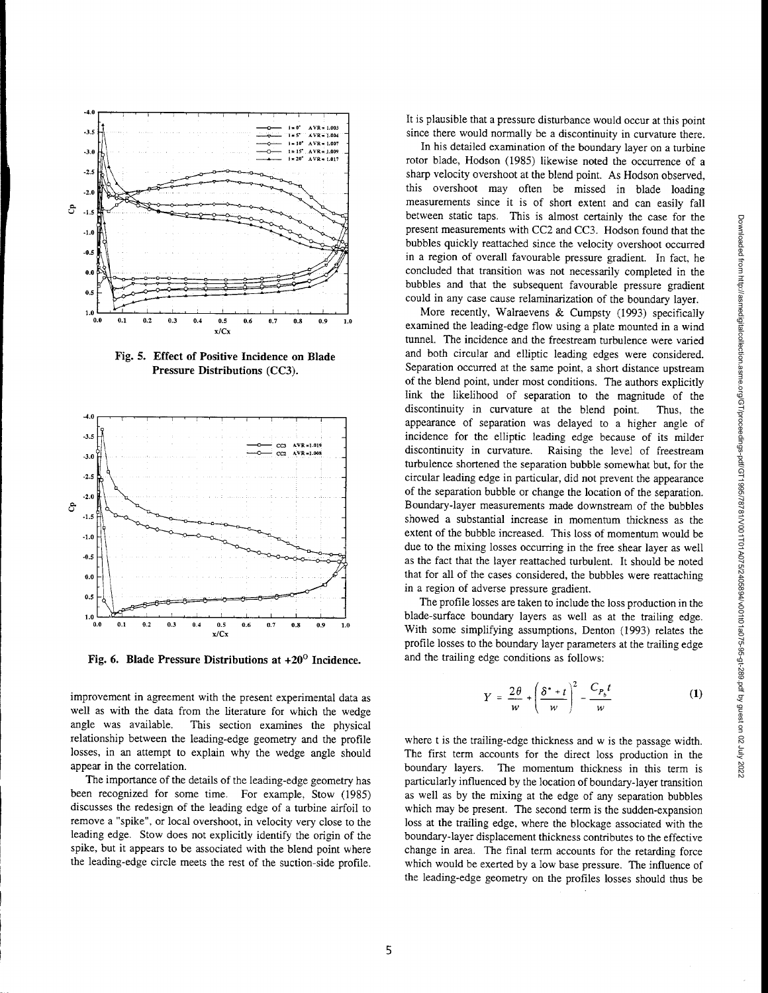

Fig. 5. Effect of Positive Incidence on Blade Pressure Distributions (CC3).



Fig. 6. Blade Pressure Distributions at  $+20^{\circ}$  Incidence.

improvement in agreement with the present experimental data as well as with the data from the literature for which the wedge angle was available. This section examines the physical relationship between the leading-edge geometry and the profile losses, in an attempt to explain why the wedge angle should appear in the correlation.

The importance of the details of the leading-edge geometry has been recognized for some time. For example, Stow (1985) discusses the redesign of the leading edge of a turbine airfoil to remove a "spike", or local overshoot, in velocity very close to the leading edge. Stow does not explicitly identify the origin of the spike, but it appears to be associated with the blend point where the leading-edge circle meets the rest of the suction-side profile. It is plausible that a pressure disturbance would occur at this point since there would normally be a discontinuity in curvature there.

In his detailed examination of the boundary layer on a turbine rotor blade, Hodson (1985) likewise noted the occurrence of a sharp velocity overshoot at the blend point. As Hodson observed, this overshoot may often be missed in blade loading measurements since it is of short extent and can easily fall between static taps. This is almost certainly the case for the present measurements with CC2 and CC3. Hodson found that the bubbles quickly reattached since the velocity overshoot occurred in a region of overall favourable pressure gradient. In fact, he concluded that transition was not necessarily completed in the bubbles and that the subsequent favourable pressure gradient could in any case cause relaminarization of the boundary layer.

More recently, Walraevens & Cumpsty (1993) specifically examined the leading-edge flow using a plate mounted in a wind tunnel. The incidence and the freestream turbulence were varied and both circular and elliptic leading edges were considered. Separation occurred at the same point, a short distance upstream of the blend point, under most conditions. The authors explicitly link the likelihood of separation to the magnitude of the discontinuity in curvature at the blend point. Thus, the appearance of separation was delayed to a higher angle of incidence for the elliptic leading edge because of its milder discontinuity in curvature. Raising the level of freestream turbulence shortened the separation bubble somewhat but, for the circular leading edge in particular, did not prevent the appearance of the separation bubble or change the location of the separation. Boundary-layer measurements made downstream of the bubbles showed a substantial increase in momentum thickness as the extent of the bubble increased. This loss of momentum would be due to the mixing losses occurring in the free shear layer as well as the fact that the layer reattached turbulent. It should be noted that for all of the cases considered, the bubbles were reattaching in a region of adverse pressure gradient.

The profile losses are taken to include the loss production in the blade-surface boundary layers as well as at the trailing edge. With some simplifying assumptions, Denton (1993) relates the profile losses to the boundary layer parameters at the trailing edge and the trailing edge conditions as follows:

$$
Y = \frac{2\theta}{w} + \left(\frac{\delta^* + t}{w}\right)^2 - \frac{C_{P_b}t}{w}
$$
 (1)

where t is the trailing-edge thickness and w is the passage width. The first term accounts for the direct loss production in the boundary layers. The momentum thickness in this term is particularly influenced by the location of boundary-layer transition as well as by the mixing at the edge of any separation bubbles which may be present. The second term is the sudden-expansion loss at the trailing edge, where the blockage associated with the boundary-layer displacement thickness contributes to the effective change in area. The final term accounts for the retarding force which would be exerted by a low base pressure. The influence of the leading-edge geometry on the profiles losses should thus be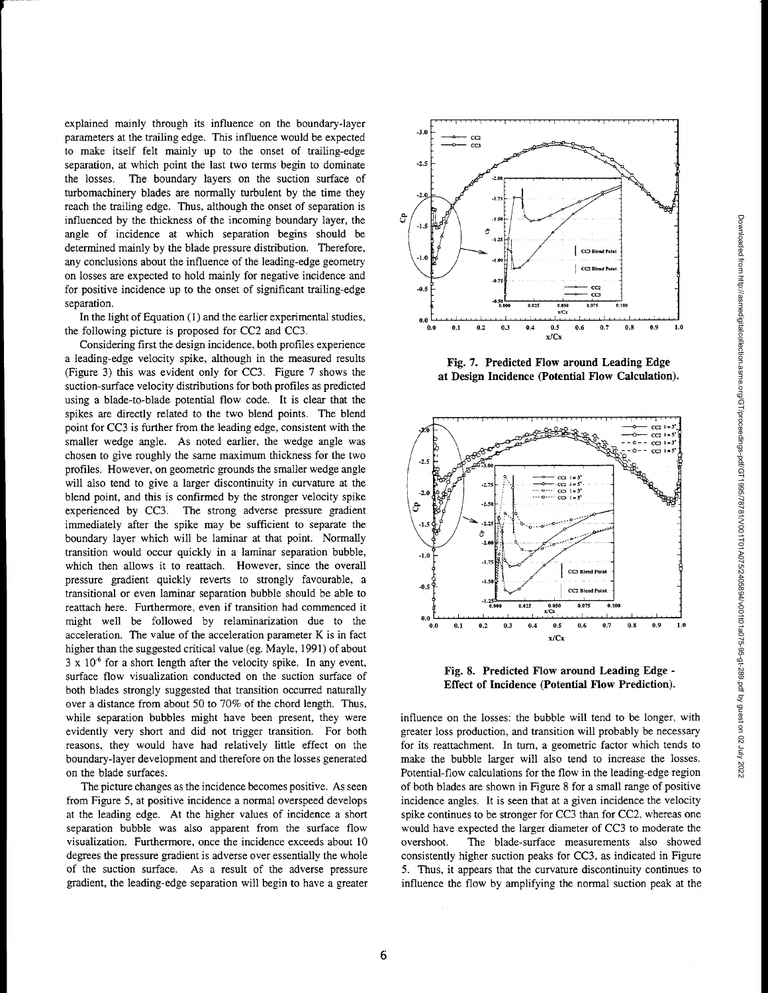explained mainly through its influence on the boundary-layer parameters at the trailing edge. This influence would be expected to make itself felt mainly up to the onset of trailing-edge separation, at which point the last two terms begin to dominate the losses. The boundary layers on the suction surface of turbomachinery blades are normally turbulent by the time they reach the trailing edge. Thus, although the onset of separation is influenced by the thickness of the incoming boundary layer, the angle of incidence at which separation begins should be determined mainly by the blade pressure distribution. Therefore, any conclusions about the influence of the leading-edge geometry on losses are expected to hold mainly for negative incidence and for positive incidence up to the onset of significant trailing-edge separation.

In the light of Equation (1) and the earlier experimental studies, the following picture is proposed for CC2 and CC3.

Considering first the design incidence, both profiles experience a leading-edge velocity spike, although in the measured results (Figure 3) this was evident only for CC3. Figure 7 shows the suction-surface velocity distributions for both profiles as predicted using a blade-to-blade potential flow code. It is clear that the spikes are directly related to the two blend points. The blend point for CC3 is further from the leading edge, consistent with the smaller wedge angle. As noted earlier, the wedge angle was chosen to give roughly the same maximum thickness for the two profiles. However, on geometric grounds the smaller wedge angle will also tend to give a larger discontinuity in curvature at the blend point, and this is confirmed by the stronger velocity spike experienced by CC3. The strong adverse pressure gradient immediately after the spike may be sufficient to separate the boundary layer which will be laminar at that point. Normally transition would occur quickly in a laminar separation bubble, which then allows it to reattach. However, since the overall pressure gradient quickly reverts to strongly favourable, a transitional or even laminar separation bubble should be able to reattach here. Furthermore, even if transition had commenced it might well be followed by relaminarization due to the acceleration. The value of the acceleration parameter K is in fact higher than the suggested critical value (eg. Mayle, 1991) of about  $3 \times 10^{-6}$  for a short length after the velocity spike. In any event, surface flow visualization conducted on the suction surface of both blades strongly suggested that transition occurred naturally over a distance from about 50 to 70% of the chord length. Thus, while separation bubbles might have been present, they were evidently very short and did not trigger transition. For both reasons, they would have had relatively little effect on the boundary-layer development and therefore on the losses generated on the blade surfaces.

The picture changes as the incidence becomes positive. As seen from Figure 5, at positive incidence a normal overspeed develops at the leading edge. At the higher values of incidence a short separation bubble was also apparent from the surface flow visualization. Furthermore, once the incidence exceeds about 10 degrees the pressure gradient is adverse over essentially the whole of the suction surface. As a result of the adverse pressure gradient, the leading-edge separation will begin to have a greater



**Fig. 7. Predicted Flow around Leading Edge at Design Incidence (Potential Flow Calculation).**



**Fig. 8. Predicted Flow around Leading Edge - Effect of Incidence (Potential Flow Prediction).**

influence on the losses: the bubble will tend to be longer, with greater loss production, and transition will probably be necessary for its reattachment. In turn, a geometric factor which tends to make the bubble larger will also tend to increase the losses. Potential-flow calculations for the flow in the leading-edge region of both blades are shown in Figure 8 for a small range of positive incidence angles. It is seen that at a given incidence the velocity spike continues to be stronger for CC3 than for CC2, whereas one would have expected the larger diameter of CC3 to moderate the overshoot. The blade-surface measurements also showed consistently higher suction peaks for CC3, as indicated in Figure 5. Thus, it appears that the curvature discontinuity continues to influence the flow by amplifying the normal suction peak at the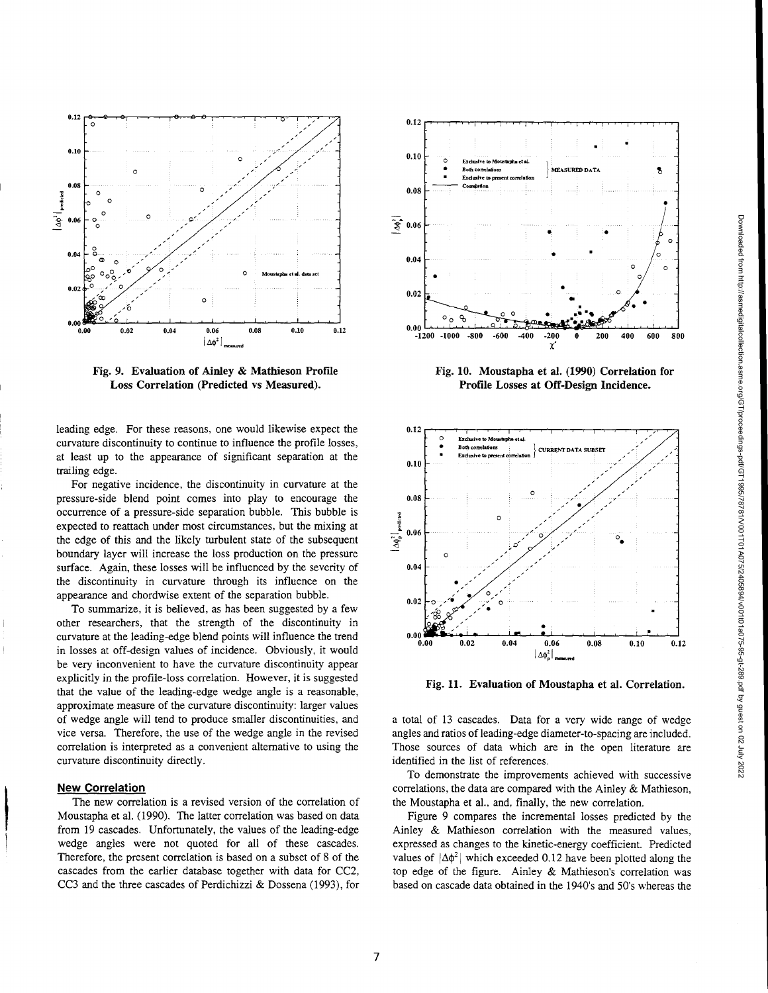

**Fig. 9. Evaluation of Ainley** & **Mathieson Profile Fig. 10. Moustapha et al. (1990) Correlation for Loss Correlation (Predicted vs Measured). Profile Losses at Off-Design Incidence.**

leading edge. For these reasons, one would likewise expect the curvature discontinuity to continue to influence the profile losses, at least up to the appearance of significant separation at the trailing edge.

For negative incidence, the discontinuity in curvature at the pressure-side blend point comes into play to encourage the occurrence of a pressure-side separation bubble. This bubble is expected to reattach under most circumstances, but the mixing at the edge of this and the likely turbulent state of the subsequent boundary layer will increase the loss production on the pressure surface. Again, these losses will be influenced by the severity of the discontinuity in curvature through its influence on the appearance and chordwise extent of the separation bubble.

To summarize, it is believed, as has been suggested by a few other researchers, that the strength of the discontinuity in curvature at the leading-edge blend points will influence the trend in losses at off-design values of incidence. Obviously, it would be very inconvenient to have the curvature discontinuity appear explicitly in the profile-loss correlation. However, it is suggested that the value of the leading-edge wedge angle is a reasonable, approximate measure of the curvature discontinuity: larger values of wedge angle will tend to produce smaller discontinuities, and vice versa. Therefore, the use of the wedge angle in the revised correlation is interpreted as a convenient alternative to using the curvature discontinuity directly.

#### **New Correlation**

The new correlation is a revised version of the correlation of Moustapha et al. (1990). The latter correlation was based on data from 19 cascades. Unfortunately, the values of the leading-edge wedge angles were not quoted for all of these cascades. Therefore, the present correlation is based on a subset of 8 of the cascades from the earlier database together with data for CC2, CC3 and the three cascades of Perdichizzi & Dossena (1993), for





**Fig. 11. Evaluation of Moustapha et al. Correlation.**

a total of 13 cascades. Data for a very wide range of wedge angles and ratios of leading-edge diameter-to-spacing are included. Those sources of data which are in the open literature are identified in the list of references.

To demonstrate the improvements achieved with successive correlations, the data are compared with the Ainley & Mathieson, the Moustapha et al., and, finally, the new correlation.

Figure 9 compares the incremental losses predicted by the Ainley & Mathieson correlation with the measured values, expressed as changes to the kinetic-energy coefficient. Predicted values of  $|\Delta \phi^2|$  which exceeded 0.12 have been plotted along the top edge of the figure. Ainley & Mathieson's correlation was based on cascade data obtained in the 1940's and 50's whereas the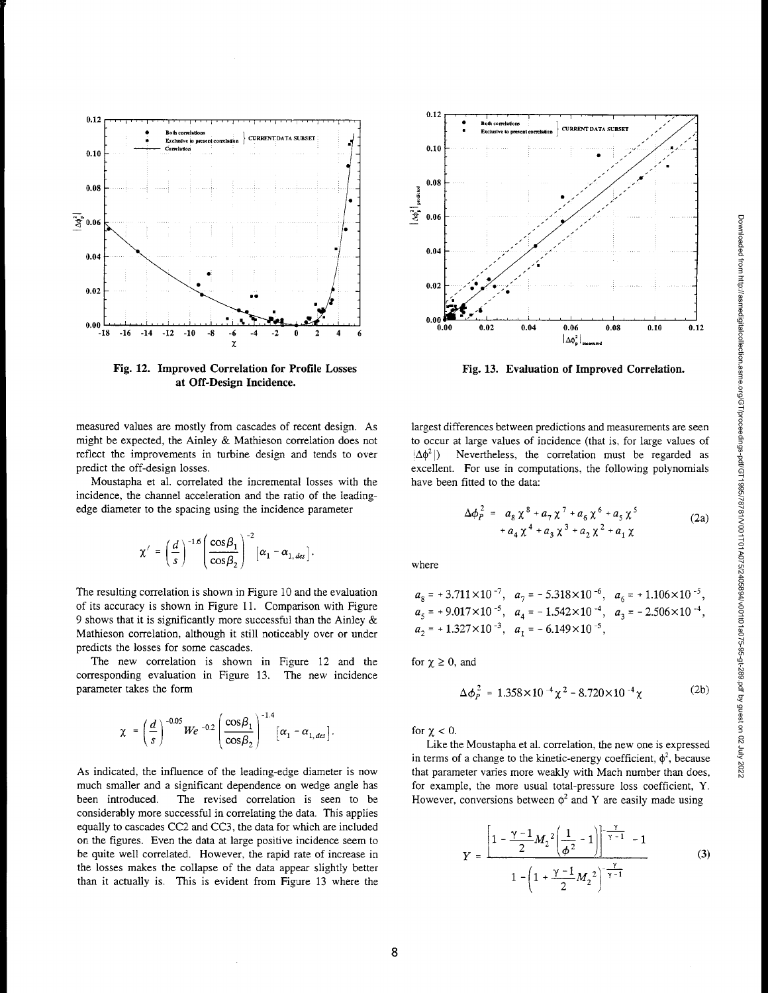

Fig. 12. Improved Correlation for Profile Losses at Off-Design Incidence.

measured values are mostly from cascades of recent design. As might be expected, the Ainley & Mathieson correlation does not reflect the improvements in turbine design and tends to over predict the off-design losses.

Moustapha et al. correlated the incremental losses with the incidence, the channel acceleration and the ratio of the leadingedge diameter to the spacing using the incidence parameter

$$
\chi' = \left(\frac{d}{s}\right)^{-1.6} \left(\frac{\cos \beta_1}{\cos \beta_2}\right)^{-2} \left[\alpha_1 - \alpha_{1, \text{ des}}\right].
$$

The resulting correlation is shown in Figure 10 and the evaluation of its accuracy is shown in Figure 11. Comparison with Figure 9 shows that it is significantly more successful than the Ainley & Mathieson correlation, although it still noticeably over or under predicts the losses for some cascades.  $\chi' = \left(\frac{d}{s}\right)^{-1.6} \left(\frac{\cos \beta_1}{\cos \beta_2}\right)^{-2} \left[\alpha_1 - \alpha_{1, \text{ dex}}\right]$ .<br>The resulting correlation is shown in Figure 10 and the e<br>of its accuracy is shown in Figure 11. Comparison wi<br>9 shows that it is significantly more succe

The new correlation is shown in Figure 12 and the corresponding evaluation in Figure 13. The new incidence parameter takes the form

$$
\chi = \left(\frac{d}{s}\right)^{-0.05} We^{-0.2} \left(\frac{\cos\beta_1}{\cos\beta_2}\right)^{-1.4} \left[\alpha_1 - \alpha_{1,des}\right]
$$

As indicated, the influence of the leading-edge diameter is now much smaller and a significant dependence on wedge angle has been introduced. The revised correlation is seen to be considerably more successful in correlating the data. This applies equally to cascades CC2 and CC3, the data for which are included on the figures. Even the data at large positive incidence seem to be quite well correlated. However, the rapid rate of increase in the losses makes the collapse of the data appear slightly better than it actually is. This is evident from Figure 13 where the



Fig. 13. Evaluation of Improved Correlation.

largest differences between predictions and measurements are seen to occur at large values of incidence (that is, for large values of  $|\Delta\phi^2|$ ) Nevertheless, the correlation must be regarded as excellent. For use in computations, the following polynomials have been fitted to the data:

$$
\Delta \phi_P^2 = a_8 \chi^8 + a_7 \chi^7 + a_6 \chi^6 + a_5 \chi^5 + a_4 \chi^4 + a_3 \chi^3 + a_2 \chi^2 + a_1 \chi
$$
 (2a)

where

$$
a_8 = +3.711 \times 10^{-7}
$$
,  $a_7 = -5.318 \times 10^{-6}$ ,  $a_6 = +1.106 \times 10^{-5}$ ,  
\n $a_5 = +9.017 \times 10^{-5}$ ,  $a_4 = -1.542 \times 10^{-4}$ ,  $a_3 = -2.506 \times 10^{-4}$ ,  
\n $a_2 = +1.327 \times 10^{-3}$ ,  $a_1 = -6.149 \times 10^{-5}$ ,

for  $\chi \geq 0$ , and

$$
\Delta \phi_P^2 = 1.358 \times 10^{-4} \chi^2 - 8.720 \times 10^{-4} \chi \tag{2b}
$$

for  $\chi < 0$ .

Like the Moustapha et al. correlation, the new one is expressed in terms of a change to the kinetic-energy coefficient,  $\phi^2$ , because that parameter varies more weakly with Mach number than does, for example, the more usual total-pressure loss coefficient, Y. However, conversions between  $\phi^2$  and Y are easily made using

$$
Y = \frac{\left[1 - \frac{\gamma - 1}{2}M_2^2 \left(\frac{1}{\phi^2} - 1\right)\right]^{-\frac{\gamma}{\gamma - 1}} - 1}{1 - \left(1 + \frac{\gamma - 1}{2}M_2^2\right)^{-\frac{\gamma}{\gamma - 1}}}
$$
(3)